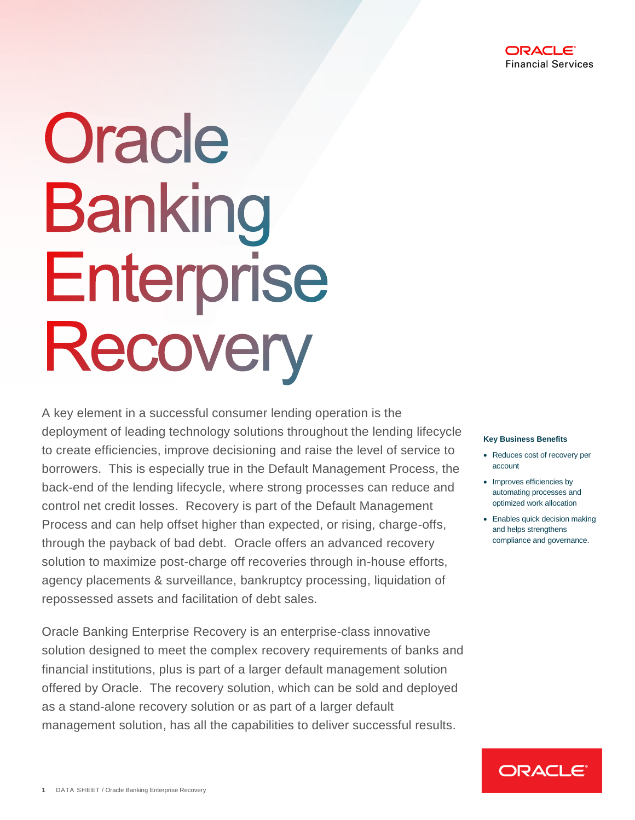

# Oracle **Banking** Enterprise Recovery

A key element in a successful consumer lending operation is the deployment of leading technology solutions throughout the lending lifecycle to create efficiencies, improve decisioning and raise the level of service to borrowers. This is especially true in the Default Management Process, the back-end of the lending lifecycle, where strong processes can reduce and control net credit losses. Recovery is part of the Default Management Process and can help offset higher than expected, or rising, charge-offs, through the payback of bad debt. Oracle offers an advanced recovery solution to maximize post-charge off recoveries through in-house efforts, agency placements & surveillance, bankruptcy processing, liquidation of repossessed assets and facilitation of debt sales.

Oracle Banking Enterprise Recovery is an enterprise-class innovative solution designed to meet the complex recovery requirements of banks and financial institutions, plus is part of a larger default management solution offered by Oracle. The recovery solution, which can be sold and deployed as a stand-alone recovery solution or as part of a larger default management solution, has all the capabilities to deliver successful results.

#### **Key Business Benefits**

- Reduces cost of recovery per account
- Improves efficiencies by automating processes and optimized work allocation
- Enables quick decision making and helps strengthens compliance and governance.

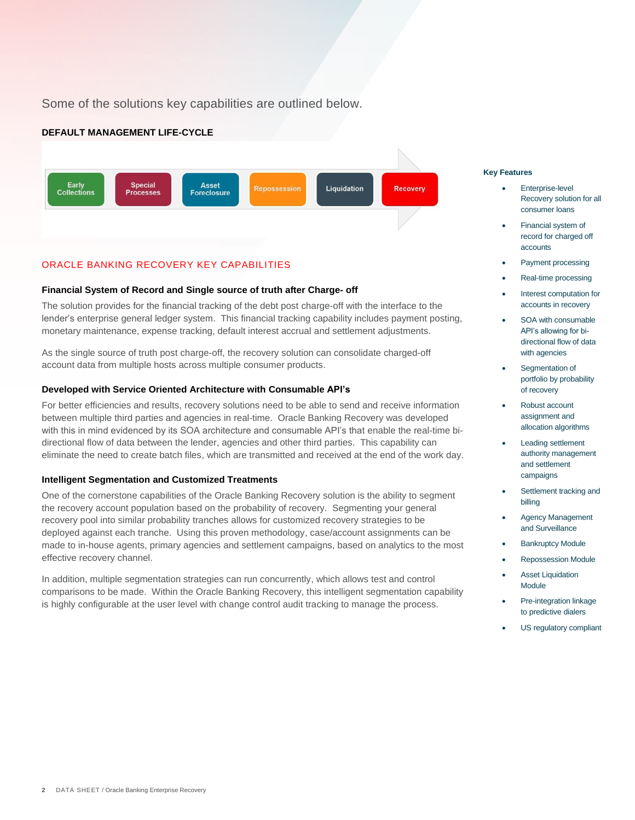Some of the solutions key capabilities are outlined below.

# **DEFAULT MANAGEMENT LIFE-CYCLE**



# ORACLE BANKING RECOVERY KEY CAPABILITIES

# **Financial System of Record and Single source of truth after Charge- off**

The solution provides for the financial tracking of the debt post charge-off with the interface to the lender's enterprise general ledger system. This financial tracking capability includes payment posting, monetary maintenance, expense tracking, default interest accrual and settlement adjustments.

As the single source of truth post charge-off, the recovery solution can consolidate charged-off account data from multiple hosts across multiple consumer products.

#### **Developed with Service Oriented Architecture with Consumable API's**

For better efficiencies and results, recovery solutions need to be able to send and receive information between multiple third parties and agencies in real-time. Oracle Banking Recovery was developed with this in mind evidenced by its SOA architecture and consumable API's that enable the real-time bidirectional flow of data between the lender, agencies and other third parties. This capability can eliminate the need to create batch files, which are transmitted and received at the end of the work day.

#### **Intelligent Segmentation and Customized Treatments**

One of the cornerstone capabilities of the Oracle Banking Recovery solution is the ability to segment the recovery account population based on the probability of recovery. Segmenting your general recovery pool into similar probability tranches allows for customized recovery strategies to be deployed against each tranche. Using this proven methodology, case/account assignments can be made to in-house agents, primary agencies and settlement campaigns, based on analytics to the most effective recovery channel.

In addition, multiple segmentation strategies can run concurrently, which allows test and control comparisons to be made. Within the Oracle Banking Recovery, this intelligent segmentation capability is highly configurable at the user level with change control audit tracking to manage the process.

#### **Key Features**

- Enterprise-level Recovery solution for all consumer loans
- Financial system of record for charged off accounts
- Payment processing
- Real-time processing
- Interest computation for accounts in recovery
- SOA with consumable API's allowing for bidirectional flow of data with agencies
- Segmentation of portfolio by probability of recovery
- Robust account assignment and allocation algorithms
- Leading settlement authority management and settlement campaigns
- Settlement tracking and billing
- Agency Management and Surveillance
- Bankruptcy Module
- Repossession Module
- **Asset Liquidation** Module
- Pre-integration linkage to predictive dialers
- US regulatory compliant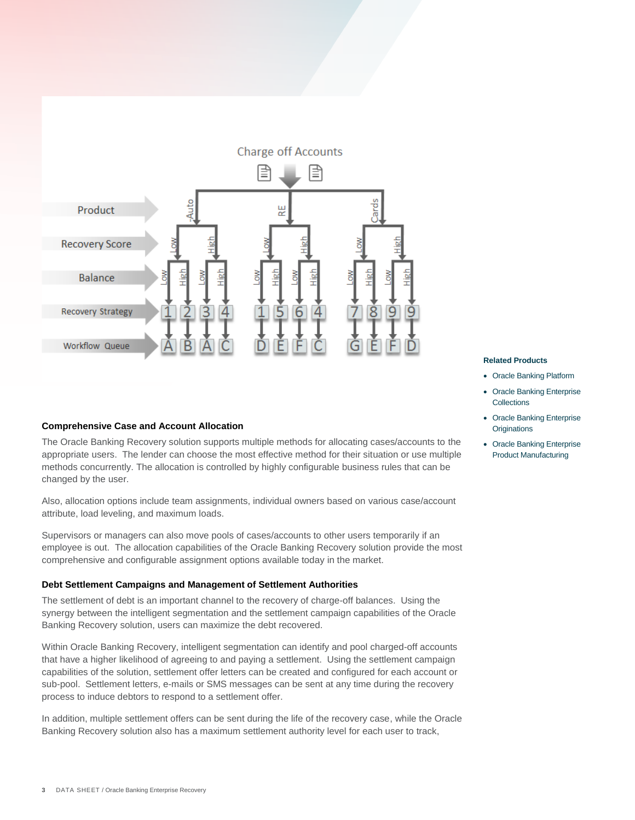

#### **Comprehensive Case and Account Allocation**

The Oracle Banking Recovery solution supports multiple methods for allocating cases/accounts to the appropriate users. The lender can choose the most effective method for their situation or use multiple methods concurrently. The allocation is controlled by highly configurable business rules that can be changed by the user.

Also, allocation options include team assignments, individual owners based on various case/account attribute, load leveling, and maximum loads.

Supervisors or managers can also move pools of cases/accounts to other users temporarily if an employee is out. The allocation capabilities of the Oracle Banking Recovery solution provide the most comprehensive and configurable assignment options available today in the market.

#### **Debt Settlement Campaigns and Management of Settlement Authorities**

The settlement of debt is an important channel to the recovery of charge-off balances. Using the synergy between the intelligent segmentation and the settlement campaign capabilities of the Oracle Banking Recovery solution, users can maximize the debt recovered.

Within Oracle Banking Recovery, intelligent segmentation can identify and pool charged-off accounts that have a higher likelihood of agreeing to and paying a settlement. Using the settlement campaign capabilities of the solution, settlement offer letters can be created and configured for each account or sub-pool. Settlement letters, e-mails or SMS messages can be sent at any time during the recovery process to induce debtors to respond to a settlement offer.

In addition, multiple settlement offers can be sent during the life of the recovery case, while the Oracle Banking Recovery solution also has a maximum settlement authority level for each user to track,

#### **Related Products**

- Oracle Banking Platform
- Oracle Banking Enterprise **Collections**
- Oracle Banking Enterprise **Originations**
- Oracle Banking Enterprise Product Manufacturing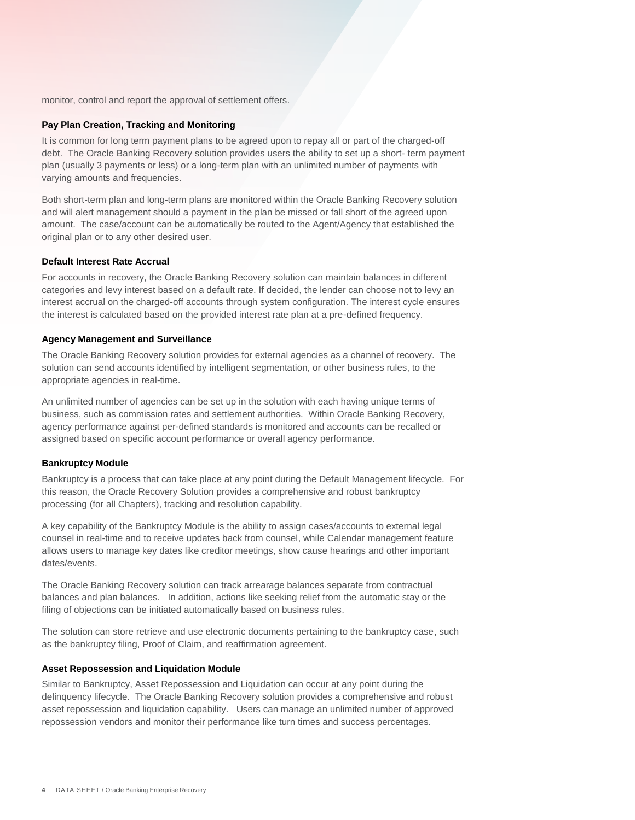monitor, control and report the approval of settlement offers.

#### **Pay Plan Creation, Tracking and Monitoring**

It is common for long term payment plans to be agreed upon to repay all or part of the charged-off debt. The Oracle Banking Recovery solution provides users the ability to set up a short- term payment plan (usually 3 payments or less) or a long-term plan with an unlimited number of payments with varying amounts and frequencies.

Both short-term plan and long-term plans are monitored within the Oracle Banking Recovery solution and will alert management should a payment in the plan be missed or fall short of the agreed upon amount. The case/account can be automatically be routed to the Agent/Agency that established the original plan or to any other desired user.

#### **Default Interest Rate Accrual**

For accounts in recovery, the Oracle Banking Recovery solution can maintain balances in different categories and levy interest based on a default rate. If decided, the lender can choose not to levy an interest accrual on the charged-off accounts through system configuration. The interest cycle ensures the interest is calculated based on the provided interest rate plan at a pre-defined frequency.

#### **Agency Management and Surveillance**

The Oracle Banking Recovery solution provides for external agencies as a channel of recovery. The solution can send accounts identified by intelligent segmentation, or other business rules, to the appropriate agencies in real-time.

An unlimited number of agencies can be set up in the solution with each having unique terms of business, such as commission rates and settlement authorities. Within Oracle Banking Recovery, agency performance against per-defined standards is monitored and accounts can be recalled or assigned based on specific account performance or overall agency performance.

#### **Bankruptcy Module**

Bankruptcy is a process that can take place at any point during the Default Management lifecycle. For this reason, the Oracle Recovery Solution provides a comprehensive and robust bankruptcy processing (for all Chapters), tracking and resolution capability.

A key capability of the Bankruptcy Module is the ability to assign cases/accounts to external legal counsel in real-time and to receive updates back from counsel, while Calendar management feature allows users to manage key dates like creditor meetings, show cause hearings and other important dates/events.

The Oracle Banking Recovery solution can track arrearage balances separate from contractual balances and plan balances. In addition, actions like seeking relief from the automatic stay or the filing of objections can be initiated automatically based on business rules.

The solution can store retrieve and use electronic documents pertaining to the bankruptcy case, such as the bankruptcy filing, Proof of Claim, and reaffirmation agreement.

#### **Asset Repossession and Liquidation Module**

Similar to Bankruptcy, Asset Repossession and Liquidation can occur at any point during the delinquency lifecycle. The Oracle Banking Recovery solution provides a comprehensive and robust asset repossession and liquidation capability. Users can manage an unlimited number of approved repossession vendors and monitor their performance like turn times and success percentages.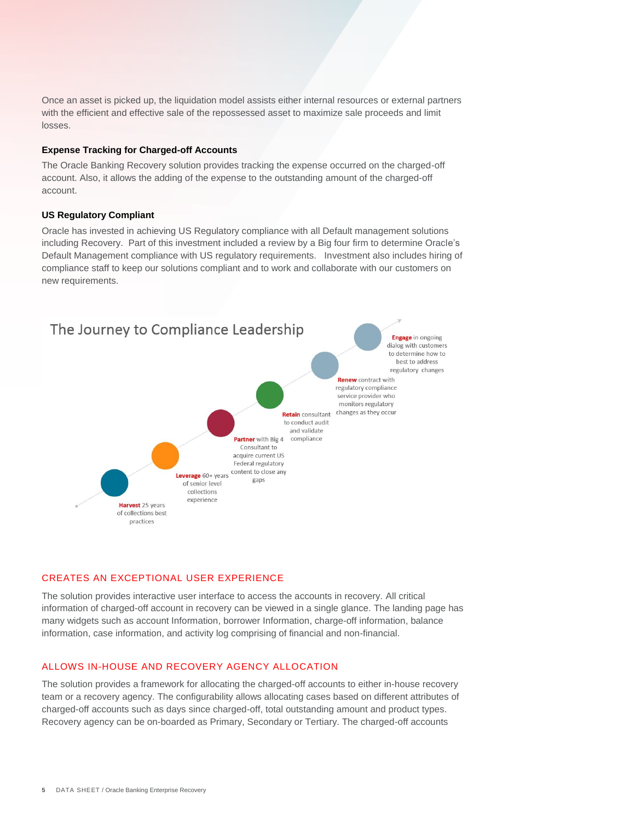Once an asset is picked up, the liquidation model assists either internal resources or external partners with the efficient and effective sale of the repossessed asset to maximize sale proceeds and limit losses.

#### **Expense Tracking for Charged-off Accounts**

The Oracle Banking Recovery solution provides tracking the expense occurred on the charged-off account. Also, it allows the adding of the expense to the outstanding amount of the charged-off account.

#### **US Regulatory Compliant**

Oracle has invested in achieving US Regulatory compliance with all Default management solutions including Recovery. Part of this investment included a review by a Big four firm to determine Oracle's Default Management compliance with US regulatory requirements. Investment also includes hiring of compliance staff to keep our solutions compliant and to work and collaborate with our customers on new requirements.



#### CREATES AN EXCEPTIONAL USER EXPERIENCE

The solution provides interactive user interface to access the accounts in recovery. All critical information of charged-off account in recovery can be viewed in a single glance. The landing page has many widgets such as account Information, borrower Information, charge-off information, balance information, case information, and activity log comprising of financial and non-financial.

# ALLOWS IN-HOUSE AND RECOVERY AGENCY ALLOCATION

The solution provides a framework for allocating the charged-off accounts to either in-house recovery team or a recovery agency. The configurability allows allocating cases based on different attributes of charged-off accounts such as days since charged-off, total outstanding amount and product types. Recovery agency can be on-boarded as Primary, Secondary or Tertiary. The charged-off accounts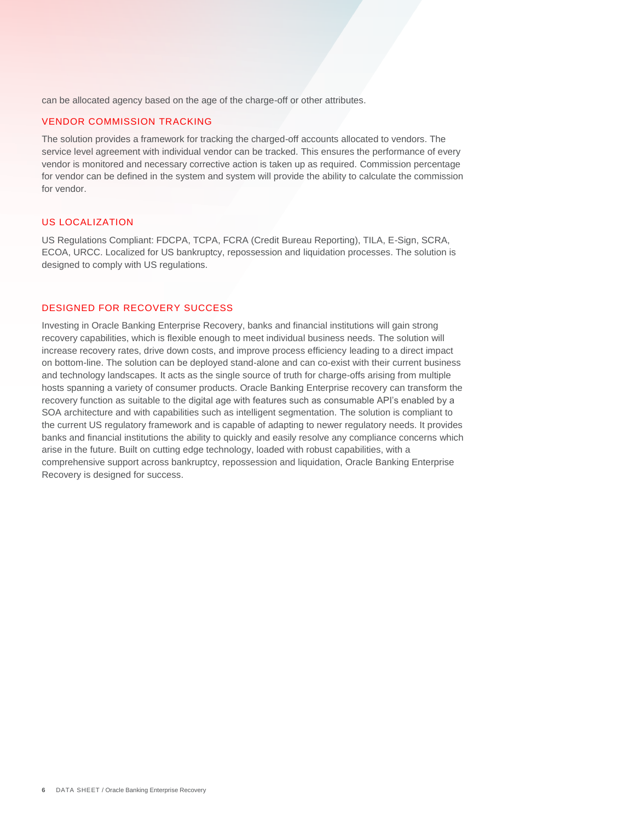can be allocated agency based on the age of the charge-off or other attributes.

#### VENDOR COMMISSION TRACKING

The solution provides a framework for tracking the charged-off accounts allocated to vendors. The service level agreement with individual vendor can be tracked. This ensures the performance of every vendor is monitored and necessary corrective action is taken up as required. Commission percentage for vendor can be defined in the system and system will provide the ability to calculate the commission for vendor.

# US LOCALIZATION

US Regulations Compliant: FDCPA, TCPA, FCRA (Credit Bureau Reporting), TILA, E-Sign, SCRA, ECOA, URCC. Localized for US bankruptcy, repossession and liquidation processes. The solution is designed to comply with US regulations.

# DESIGNED FOR RECOVERY SUCCESS

Investing in Oracle Banking Enterprise Recovery, banks and financial institutions will gain strong recovery capabilities, which is flexible enough to meet individual business needs. The solution will increase recovery rates, drive down costs, and improve process efficiency leading to a direct impact on bottom-line. The solution can be deployed stand-alone and can co-exist with their current business and technology landscapes. It acts as the single source of truth for charge-offs arising from multiple hosts spanning a variety of consumer products. Oracle Banking Enterprise recovery can transform the recovery function as suitable to the digital age with features such as consumable API's enabled by a SOA architecture and with capabilities such as intelligent segmentation. The solution is compliant to the current US regulatory framework and is capable of adapting to newer regulatory needs. It provides banks and financial institutions the ability to quickly and easily resolve any compliance concerns which arise in the future. Built on cutting edge technology, loaded with robust capabilities, with a comprehensive support across bankruptcy, repossession and liquidation, Oracle Banking Enterprise Recovery is designed for success.